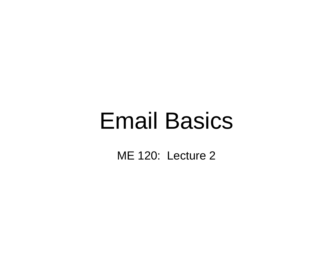### Email Basics

ME 120: Lecture 2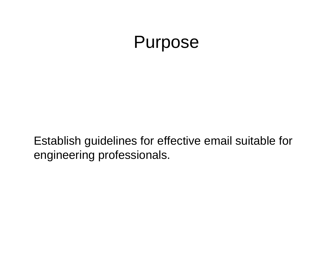### Purpose

Establish guidelines for effective email suitable for engineering professionals.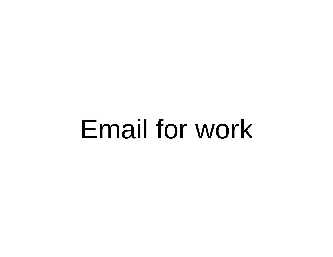### Email for work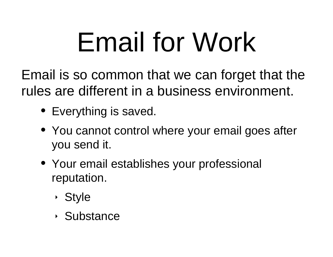# Email for Work

Email is so common that we can forget that the rules are different in a business environment.

- Everything is saved.
- You cannot control where your email goes after you send it.
- Your email establishes your professional reputation.
	- ‣ Style
	- ‣ Substance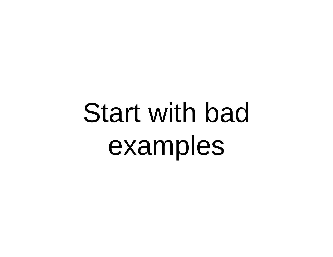# Start with bad examples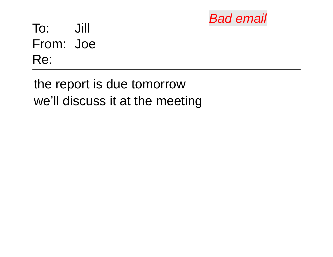

Jill To: From: Joe Re:

the report is due tomorrow we'll discuss it at the meeting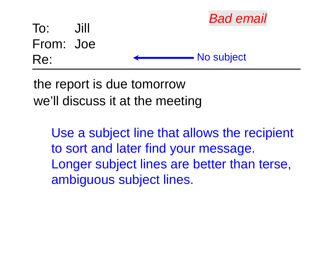

the report is due tomorrow we'll discuss it at the meeting

> Use a subject line that allows the recipient to sort and later find your message. Longer subject lines are better than terse, ambiguous subject lines.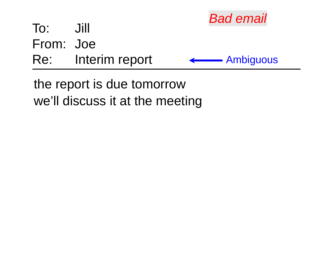

the report is due tomorrow we'll discuss it at the meeting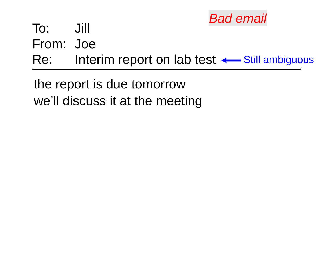

From: Joe

Re: Interim report on lab test <— Still ambiguous

the report is due tomorrow we'll discuss it at the meeting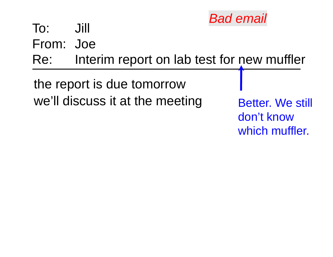

From: Joe

Interim report on lab test for new muffler Re:

the report is due tomorrow we'll discuss it at the meeting

Better. We still don't know which muffler.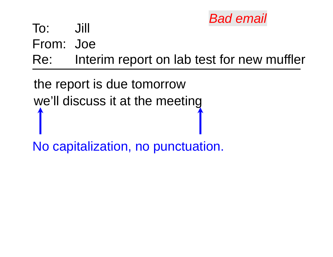

From: Joe

Re: Interim report on lab test for new muffler

the report is due tomorrow we'll discuss it at the meeting

No capitalization, no punctuation.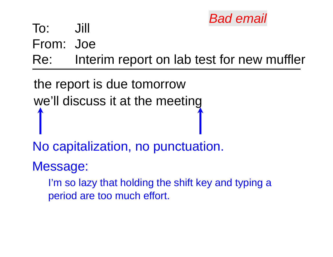

From: Joe

Re: Interim report on lab test for new muffler

the report is due tomorrow we'll discuss it at the meeting

No capitalization, no punctuation.

Message:

I'm so lazy that holding the shift key and typing a period are too much effort.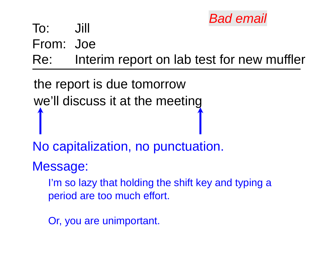

From: Joe

Re: Interim report on lab test for new muffler

the report is due tomorrow we'll discuss it at the meeting

No capitalization, no punctuation.

Message:

I'm so lazy that holding the shift key and typing a period are too much effort.

Or, you are unimportant.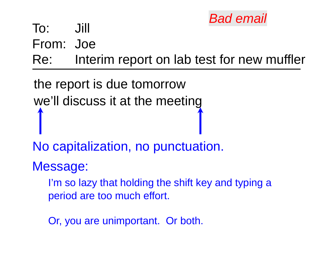

From: Joe

Re: Interim report on lab test for new muffler

the report is due tomorrow we'll discuss it at the meeting

No capitalization, no punctuation.

Message:

I'm so lazy that holding the shift key and typing a period are too much effort.

Or, you are unimportant. Or both.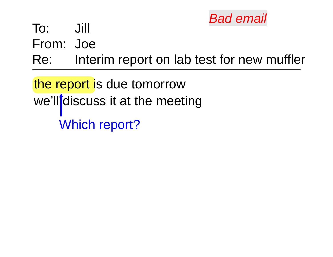

From: Joe

Re: Interim report on lab test for new muffler

the report is due tomorrow we'll discuss it at the meeting Which report?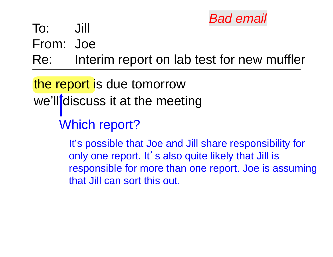

From: Joe

Re: Interim report on lab test for new muffler

the report is due tomorrow we'll discuss it at the meeting

Which report?

It's possible that Joe and Jill share responsibility for only one report. It's also quite likely that Jill is responsible for more than one report. Joe is assuming that Jill can sort this out.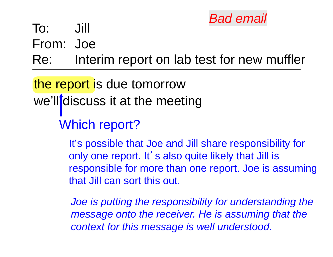

From: Joe

Re: Interim report on lab test for new muffler

the report is due tomorrow we'll discuss it at the meeting

Which report?

It's possible that Joe and Jill share responsibility for only one report. It's also quite likely that Jill is responsible for more than one report. Joe is assuming that Jill can sort this out.

*Joe is putting the responsibility for understanding the message onto the receiver. He is assuming that the context for this message is well understood.*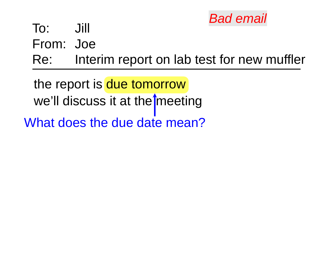

From: Joe

Re: Interim report on lab test for new muffler

the report is due tomorrow we'll discuss it at the meeting

What does the due date mean?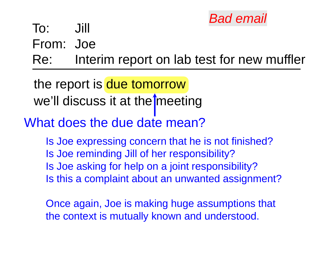

From: Joe

Re: Interim report on lab test for new muffler

the report is due tomorrow we'll discuss it at the meeting

#### What does the due date mean?

Is Joe expressing concern that he is not finished? Is Joe reminding Jill of her responsibility? Is Joe asking for help on a joint responsibility? Is this a complaint about an unwanted assignment?

Once again, Joe is making huge assumptions that the context is mutually known and understood.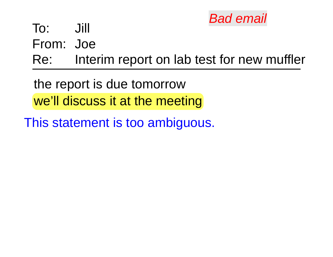

From: Joe

Re: Interim report on lab test for new muffler

the report is due tomorrow

we'll discuss it at the meeting

This statement is too ambiguous.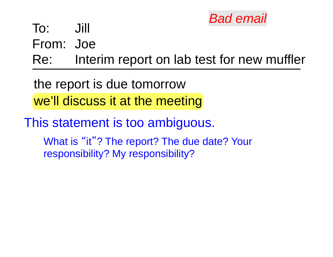

From: Joe

Re: Interim report on lab test for new muffler

the report is due tomorrow we'll discuss it at the meeting

This statement is too ambiguous. What is "it"? The report? The due date? Your responsibility? My responsibility?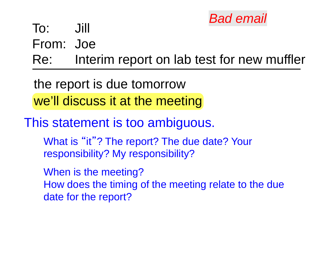

From: Joe

Re: Interim report on lab test for new muffler

the report is due tomorrow we'll discuss it at the meeting

This statement is too ambiguous.

What is "it"? The report? The due date? Your responsibility? My responsibility?

When is the meeting? How does the timing of the meeting relate to the due date for the report?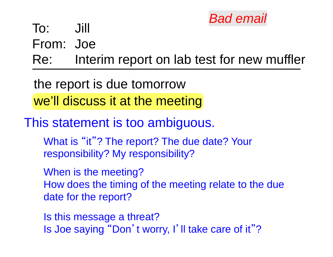

From: Joe

Re: Interim report on lab test for new muffler

the report is due tomorrow we'll discuss it at the meeting

This statement is too ambiguous.

What is "it"? The report? The due date? Your responsibility? My responsibility?

When is the meeting? How does the timing of the meeting relate to the due date for the report?

Is this message a threat? Is Joe saying "Don't worry, I'll take care of it ""?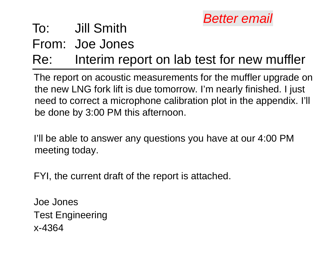

### Jill Smith To:

From: Joe Jones

#### Re: Interim report on lab test for new muffler

The report on acoustic measurements for the muffler upgrade on the new LNG fork lift is due tomorrow. I'm nearly finished. I just need to correct a microphone calibration plot in the appendix. I'll be done by 3:00 PM this afternoon.

I'll be able to answer any questions you have at our 4:00 PM meeting today.

FYI, the current draft of the report is attached.

Joe JonesTest Engineering x-4364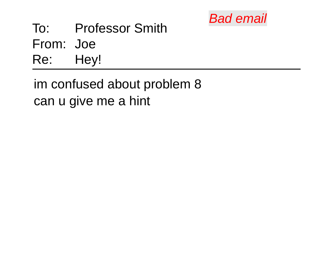

Professor Smith To: From: Joe Re: Hey!

im confused about problem 8 can u give me a hint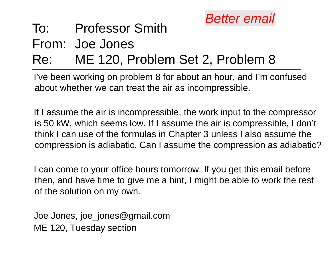

#### Professor Smith To:

From: Joe Jones

#### ME 120, Problem Set 2, Problem 8 Re:

I've been working on problem 8 for about an hour, and I'm confused about whether we can treat the air as incompressible.

If I assume the air is incompressible, the work input to the compressor is 50 kW, which seems low. If I assume the air is compressible, I don't think I can use of the formulas in Chapter 3 unless I also assume the compression is adiabatic. Can I assume the compression as adiabatic?

I can come to your office hours tomorrow. If you get this email before then, and have time to give me a hint, I might be able to work the rest of the solution on my own.

Joe Jones, joe\_jones@gmail.com ME 120, Tuesday section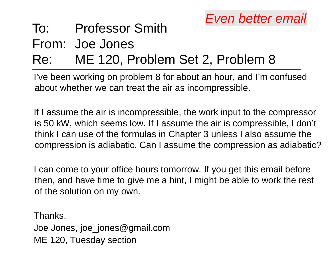#### Professor Smith To:

From: Joe Jones

#### ME 120, Problem Set 2, Problem 8 Re:

I've been working on problem 8 for about an hour, and I'm confused about whether we can treat the air as incompressible.

If I assume the air is incompressible, the work input to the compressor is 50 kW, which seems low. If I assume the air is compressible, I don't think I can use of the formulas in Chapter 3 unless I also assume the compression is adiabatic. Can I assume the compression as adiabatic?

I can come to your office hours tomorrow. If you get this email before then, and have time to give me a hint, I might be able to work the rest of the solution on my own.

Thanks, Joe Jones, joe\_jones@gmail.com ME 120, Tuesday section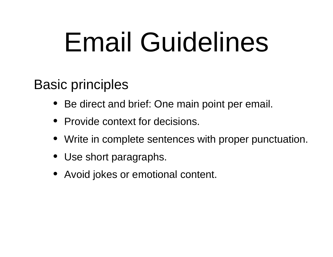### Email Guidelines

#### Basic principles

- $\bullet$ Be direct and brief: One main point per email.
- Provide context for decisions.
- •Write in complete sentences with proper punctuation.
- Use short paragraphs.
- Avoid jokes or emotional content.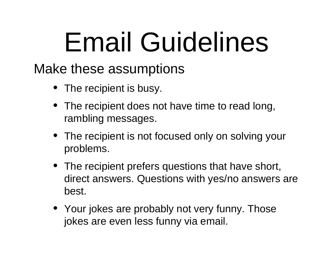### Email Guidelines

#### Make these assumptions

- The recipient is busy.
- The recipient does not have time to read long, rambling messages.
- The recipient is not focused only on solving your problems.
- The recipient prefers questions that have short, direct answers. Questions with yes/no answers are best.
- Your jokes are probably not very funny. Those jokes are even less funny via email.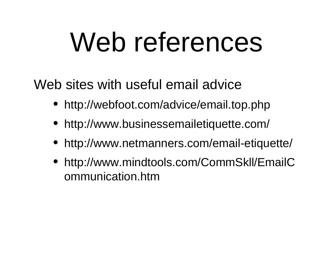### Web references

Web sites with useful email advice

- http://webfoot.com/advice/email.top.php
- •http://www.businessemailetiquette.com/
- $\bullet$ http://www.netmanners.com/email-etiquette/
- http://www.mindtools.com/CommSkll/EmailC ommunication.htm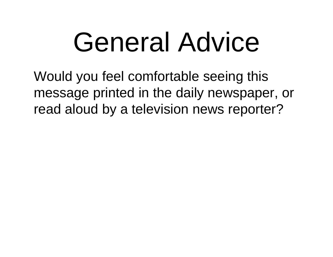### General Advice

Would you feel comfortable seeing this message printed in the daily newspaper, or read aloud by a television news reporter?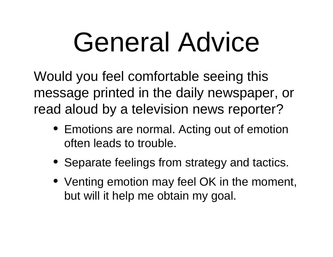# General Advice

Would you feel comfortable seeing this message printed in the daily newspaper, or read aloud by a television news reporter?

- Emotions are normal. Acting out of emotion often leads to trouble.
- Separate feelings from strategy and tactics.
- Venting emotion may feel OK in the moment, but will it help me obtain my goal.